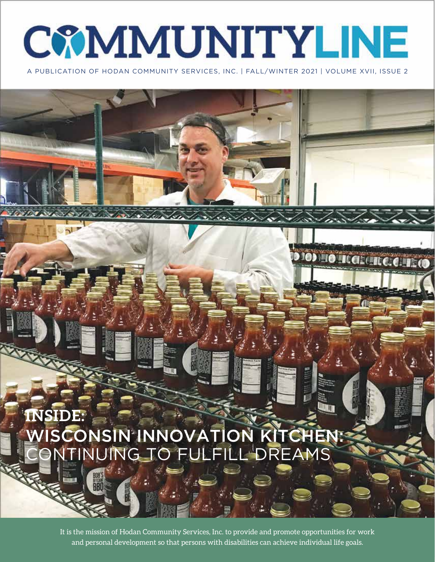# **COMMUNITYLINE**

A PUBLICATION OF HODAN COMMUNITY SERVICES, INC. | FALL/WINTER 2021 | VOLUME XVII, ISSUE 2

10) TO TEGRETE C.C.T.E.O

## **INSIDE:** WISCONSIN INNOVATION KITCHEN: CONTINUING TO FULFILL DREAMS

*CONSTANTINO VIDEO* 

It is the mission of Hodan Community Services, Inc. to provide and promote opportunities for work and personal development so that persons with disabilities can achieve individual life goals.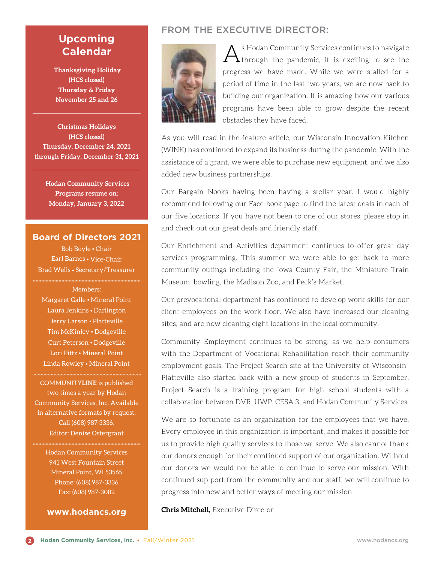#### **Upcoming Calendar**

 **Thanksgiving Holiday (HCS closed) Thursday & Friday November 25 and 26**

**Christmas Holidays (HCS closed) Thursday, December 24, 2021 through Friday, December 31, 2021**

> **Hodan Community Services Programs resume on: Monday, January 3, 2022**

#### **Board of Directors 2021**

Bob Boyle • Chair Earl Barnes • Vice-Chair Brad Wells • Secretary/Treasurer

Members: Margaret Galle • Mineral Point Laura Jenkins • Darlington Jerry Larson • Platteville Tim McKinley • Dodgeville Curt Peterson • Dodgeville Lori Pittz • Mineral Point Linda Rowley • Mineral Point

COMMUNITY**LINE** is published two times a year by Hodan Community Services, Inc. Available in alternative formats by request. Call (608) 987-3336. Editor: Denise Ostergrant

Hodan Community Services 941 West Fountain Street Mineral Point, WI 53565 Phone: (608) 987-3336 Fax: (608) 987-3082

**www.hodancs.org**

#### FROM THE EXECUTIVE DIRECTOR:



 $A$ <sup>s Hodan Community Services continues to navigate through the pandemic, it is exciting to see the</sup> progress we have made. While we were stalled for a period of time in the last two years, we are now back to building our organization. It is amazing how our various programs have been able to grow despite the recent obstacles they have faced.

As you will read in the feature article, our Wisconsin Innovation Kitchen (WINK) has continued to expand its business during the pandemic. With the assistance of a grant, we were able to purchase new equipment, and we also added new business partnerships.

Our Bargain Nooks having been having a stellar year. I would highly recommend following our Face-book page to find the latest deals in each of our five locations. If you have not been to one of our stores, please stop in and check out our great deals and friendly staff.

Our Enrichment and Activities department continues to offer great day services programming. This summer we were able to get back to more community outings including the Iowa County Fair, the Miniature Train Museum, bowling, the Madison Zoo, and Peck's Market.

Our prevocational department has continued to develop work skills for our client-employees on the work floor. We also have increased our cleaning sites, and are now cleaning eight locations in the local community.

Community Employment continues to be strong, as we help consumers with the Department of Vocational Rehabilitation reach their community employment goals. The Project Search site at the University of Wisconsin-Platteville also started back with a new group of students in September. Project Search is a training program for high school students with a collaboration between DVR, UWP, CESA 3, and Hodan Community Services.

We are so fortunate as an organization for the employees that we have. Every employee in this organization is important, and makes it possible for us to provide high quality services to those we serve. We also cannot thank our donors enough for their continued support of our organization. Without our donors we would not be able to continue to serve our mission. With continued sup-port from the community and our staff, we will continue to progress into new and better ways of meeting our mission.

**Chris Mitchell,** Executive Director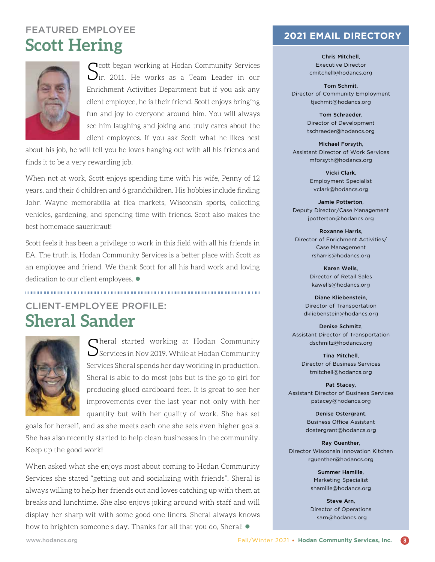### FEATURED EMPLOYEE **Scott Hering**



 $S$ cott began working at Hodan Community Services<br> $S$ in 2011. He works as a Team Leader in our Enrichment Activities Department but if you ask any client employee, he is their friend. Scott enjoys bringing fun and joy to everyone around him. You will always see him laughing and joking and truly cares about the client employees. If you ask Scott what he likes best

about his job, he will tell you he loves hanging out with all his friends and finds it to be a very rewarding job.

When not at work, Scott enjoys spending time with his wife, Penny of 12 years, and their 6 children and 6 grandchildren. His hobbies include finding John Wayne memorabilia at flea markets, Wisconsin sports, collecting vehicles, gardening, and spending time with friends. Scott also makes the best homemade sauerkraut!

Scott feels it has been a privilege to work in this field with all his friends in EA. The truth is, Hodan Community Services is a better place with Scott as an employee and friend. We thank Scott for all his hard work and loving dedication to our client employees.  $\bullet$ 

CLIENT-EMPLOYEE PROFILE: **Sheral Sander**



 $\bigcap$  heral started working at Hodan Community  $\sum$  Services in Nov 2019. While at Hodan Community Services Sheral spends her day working in production. Sheral is able to do most jobs but is the go to girl for producing glued cardboard feet. It is great to see her improvements over the last year not only with her quantity but with her quality of work. She has set

goals for herself, and as she meets each one she sets even higher goals. She has also recently started to help clean businesses in the community. Keep up the good work!

When asked what she enjoys most about coming to Hodan Community Services she stated "getting out and socializing with friends". Sheral is always willing to help her friends out and loves catching up with them at breaks and lunchtime. She also enjoys joking around with staff and will display her sharp wit with some good one liners. Sheral always knows how to brighten someone's day. Thanks for all that you do, Sheral!  $\bullet$ 

#### **2021 EMAIL DIRECTORY**

Chris Mitchell, Executive Director cmitchell@hodancs.org

Tom Schmit, Director of Community Employment tjschmit@hodancs.org

> Tom Schraeder, Director of Development tschraeder@hodancs.org

Michael Forsyth, Assistant Director of Work Services mforsyth@hodancs.org

> Vicki Clark, Employment Specialist vclark@hodancs.org

Jamie Potterton, Deputy Director/Case Management jpotterton@hodancs.org

Roxanne Harris, Director of Enrichment Activities/ Case Management rsharris@hodancs.org

> Karen Wells, Director of Retail Sales kawells@hodancs.org

Diane Kliebenstein, Director of Transportation dkliebenstein@hodancs.org

Denise Schmitz, Assistant Director of Transportation dschmitz@hodancs.org

> Tina Mitchell, Director of Business Services tmitchell@hodancs.org

Pat Stacey, Assistant Director of Business Services pstacey@hodancs.org

> Denise Ostergrant, Business Office Assistant dostergrant@hodancs.org

Ray Guenther, Director Wisconsin Innovation Kitchen rguenther@hodancs.org

> Summer Hamille, Marketing Specialist shamille@hodancs.org

Steve Arn, Director of Operations sarn@hodancs.org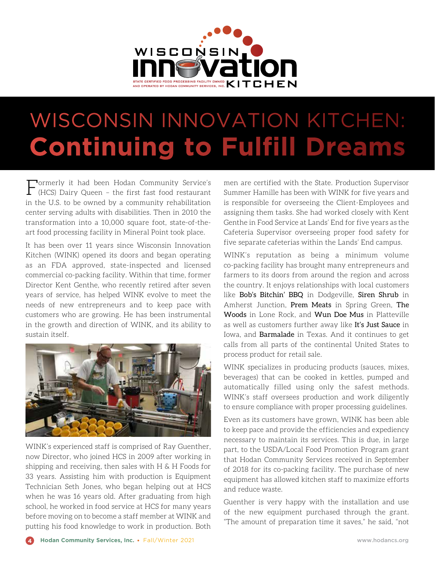

## WISCONSIN INNOVATION KITCHEN: **Continuing to Fulfill Dreams**

Formerly it had been Hodan Community Service's (HCS) Dairy Queen – the first fast food restaurant in the U.S. to be owned by a community rehabilitation center serving adults with disabilities. Then in 2010 the transformation into a 10,000 square foot, state-of-theart food processing facility in Mineral Point took place.

It has been over 11 years since Wisconsin Innovation Kitchen (WINK) opened its doors and began operating as an FDA approved, state-inspected and licensed commercial co-packing facility. Within that time, former Director Kent Genthe, who recently retired after seven years of service, has helped WINK evolve to meet the needs of new entrepreneurs and to keep pace with customers who are growing. He has been instrumental in the growth and direction of WINK, and its ability to sustain itself.



WINK's experienced staff is comprised of Ray Guenther, now Director, who joined HCS in 2009 after working in shipping and receiving, then sales with H & H Foods for 33 years. Assisting him with production is Equipment Technician Seth Jones, who began helping out at HCS when he was 16 years old. After graduating from high school, he worked in food service at HCS for many years before moving on to become a staff member at WINK and putting his food knowledge to work in production. Both

men are certified with the State. Production Supervisor Summer Hamille has been with WINK for five years and is responsible for overseeing the Client-Employees and assigning them tasks. She had worked closely with Kent Genthe in Food Service at Lands' End for five years as the Cafeteria Supervisor overseeing proper food safety for five separate cafeterias within the Lands' End campus.

WINK's reputation as being a minimum volume co-packing facility has brought many entrepreneurs and farmers to its doors from around the region and across the country. It enjoys relationships with local customers like Bob's Bitchin' BBQ in Dodgeville, Siren Shrub in Amherst Junction, Prem Meats in Spring Green, The Woods in Lone Rock, and Wun Doe Mus in Platteville as well as customers further away like It's Just Sauce in Iowa, and Barmalade in Texas. And it continues to get calls from all parts of the continental United States to process product for retail sale.

WINK specializes in producing products (sauces, mixes, beverages) that can be cooked in kettles, pumped and automatically filled using only the safest methods. WINK's staff oversees production and work diligently to ensure compliance with proper processing guidelines.

Even as its customers have grown, WINK has been able to keep pace and provide the efficiencies and expediency necessary to maintain its services. This is due, in large part, to the USDA/Local Food Promotion Program grant that Hodan Community Services received in September of 2018 for its co-packing facility. The purchase of new equipment has allowed kitchen staff to maximize efforts and reduce waste.

Guenther is very happy with the installation and use of the new equipment purchased through the grant. "The amount of preparation time it saves," he said, "not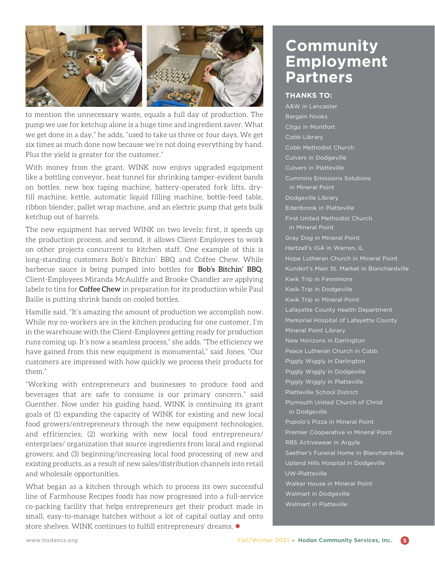

to mention the unnecessary waste, equals a full day of production. The pump we use for ketchup alone is a huge time and ingredient saver. What we get done in a day," he adds, "used to take us three or four days. We get six times as much done now because we're not doing everything by hand. Plus the yield is greater for the customer."

With money from the grant, WINK now enjoys upgraded equipment like a bottling conveyor, heat tunnel for shrinking tamper-evident bands on bottles, new box taping machine, battery-operated fork lifts, dryfill machine, kettle, automatic liquid filling machine, bottle-feed table, ribbon blender, pallet wrap machine, and an electric pump that gets bulk ketchup out of barrels.

The new equipment has served WINK on two levels: first, it speeds up the production process, and second, it allows Client-Employees to work on other projects concurrent to kitchen staff. One example of this is long-standing customers Bob's Bitchin' BBQ and Coffee Chew. While barbecue sauce is being pumped into bottles for Bob's Bitchin' BBQ, Client-Employees Miranda McAuliffe and Brooke Chandler are applying labels to tins for Coffee Chew in preparation for its production while Paul Bailie is putting shrink bands on cooled bottles.

Hamille said, "It's amazing the amount of production we accomplish now. While my co-workers are in the kitchen producing for one customer, I'm in the warehouse with the Client-Employees getting ready for production runs coming up. It's now a seamless process," she adds. "The efficiency we have gained from this new equipment is monumental," said Jones, "Our customers are impressed with how quickly we process their products for them."

"Working with entrepreneurs and businesses to produce food and beverages that are safe to consume is our primary concern," said Guenther. Now under his guiding hand, WINK is continuing its grant goals of (1) expanding the capacity of WINK for existing and new local food growers/entrepreneurs through the new equipment technologies, and efficiencies; (2) working with new local food entrepreneurs/ enterprises/ organization that source ingredients from local and regional growers; and (3) beginning/increasing local food processing of new and existing products, as a result of new sales/distribution channels into retail and wholesale opportunities.

What began as a kitchen through which to process its own successful line of Farmhouse Recipes foods has now progressed into a full-service co-packing facility that helps entrepreneurs get their product made in small, easy-to-manage batches without a lot of capital outlay and onto store shelves. WINK continues to fulfill entrepreneurs' dreams.  $\bullet$ 

## **Community Employment Partners**

#### **THANKS TO:**

A&W in Lancaster Bargain Nooks Citgo in Montfort Cobb Library Cobb Methodist Church Culvers in Dodgeville Culvers in Platteville Cummins Emissions Solutions in Mineral Point Dodgeville Library Edenbrook in Platteville First United Methodist Church in Mineral Point Gray Dog in Mineral Point Hartzell's IGA in Warren, IL Hope Lutheran Church in Mineral Point Kundert's Main St. Market in Blanchardville Kwik Trip in Fennimore Kwik Trip in Dodgeville Kwik Trip in Mineral Point Lafayette County Health Department Memorial Hospital of Lafayette County Mineral Point Library New Horizons in Darlington Peace Lutheran Church in Cobb Piggly Wiggly in Darlington Piggly Wiggly in Dodgeville Piggly Wiggly in Platteville Platteville School District Plymouth United Church of Christ in Dodgeville Popolo's Pizza in Mineral Point Premier Cooperative in Mineral Point RBS Activewear in Argyle Saether's Funeral Home in Blanchardville Upland Hills Hospital in Dodgeville UW-Platteville Walker House in Mineral Point Walmart in Dodgeville Walmart in Platteville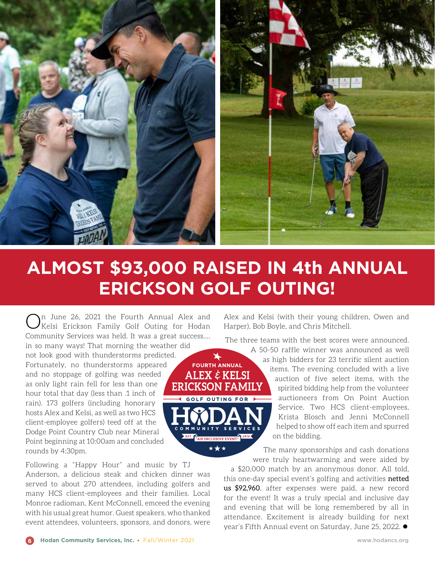

## **ALMOST \$93,000 RAISED IN 4th ANNUAL ERICKSON GOLF OUTING!**

 $\blacktriangleright$ 

\*\*\*

On June 26, 2021 the Fourth Annual Alex and Kelsi Erickson Family Golf Outing for Hodan Community Services was held. It was a great success…. in so many ways! That morning the weather did not look good with thunderstorms predicted. **FOURTH ANNUAL** Fortunately, no thunderstorms appeared ALEX  $\dot{\varepsilon}$  KELSI and no stoppage of golfing was needed as only light rain fell for less than one **ERICKSON FAMILY** hour total that day (less than .1 inch of OLF OUTING FOR rain). 173 golfers (including honorary hosts Alex and Kelsi, as well as two HCS client-employee golfers) teed off at the Dodge Point Country Club near Mineral EST. THE MAN INCLUSIVE EVENT" 2018 Point beginning at 10:00am and concluded rounds by 4:30pm.

Following a "Happy Hour" and music by TJ Anderson, a delicious steak and chicken dinner was served to about 270 attendees, including golfers and many HCS client-employees and their families. Local Monroe radioman, Kent McConnell, emceed the evening with his usual great humor. Guest speakers, who thanked event attendees, volunteers, sponsors, and donors, were

Alex and Kelsi (with their young children, Owen and Harper), Bob Boyle, and Chris Mitchell.

The three teams with the best scores were announced.

A 50-50 raffle winner was announced as well as high bidders for 23 terrific silent auction items. The evening concluded with a live auction of five select items, with the spirited bidding help from the volunteer auctioneers from On Point Auction Service. Two HCS client-employees, Krista Blosch and Jenni McConnell helped to show off each item and spurred on the bidding.

The many sponsorships and cash donations were truly heartwarming and were aided by

a \$20,000 match by an anonymous donor. All told, this one-day special event's golfing and activities netted us \$92,960, after expenses were paid, a new record for the event! It was a truly special and inclusive day and evening that will be long remembered by all in attendance. Excitement is already building for next year's Fifth Annual event on Saturday, June 25, 2022.  $\bullet$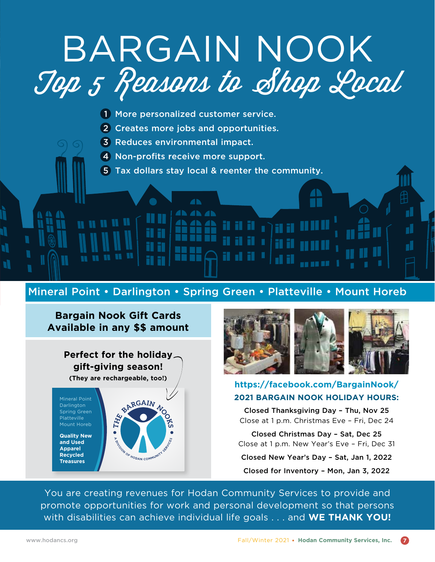## BARGAIN NOOK Top 5 Reasons to Shop Local

- 1 More personalized customer service.
- 2 Creates more jobs and opportunities.

4 **AN AN AN** 

- 3 Reduces environmental impact.
- 4 Non-profits receive more support.
- 5 Tax dollars stay local & reenter the community.

#### Mineral Point • Darlington • Spring Green • Platteville • Mount Horeb

#### **Bargain Nook Gift Cards Available in any \$\$ amount**

**Perfect for the holiday gift-giving season! (They are rechargeable, too!)**

**Darlington** Spring Green Platteville Mount Horeb

**Quality New and Used Apparel Recycled Treasures**





**. . . . .** 

d.

#### **https://facebook.com/BargainNook/ 2021 BARGAIN NOOK HOLIDAY HOURS:**

Closed Thanksgiving Day – Thu, Nov 25 Close at 1 p.m. Christmas Eve – Fri, Dec 24

Closed Christmas Day – Sat, Dec 25 Close at 1 p.m. New Year's Eve – Fri, Dec 31

Closed New Year's Day – Sat, Jan 1, 2022

Closed for Inventory – Mon, Jan 3, 2022

You are creating revenues for Hodan Community Services to provide and promote opportunities for work and personal development so that persons with disabilities can achieve individual life goals . . . and **WE THANK YOU!**

N